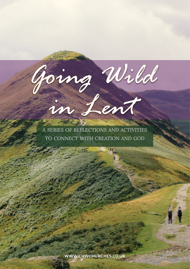*A SERIES OF REFLECTIONS AND ACTIVITIES TO CONNECT WITH CREATION AND GOD*

*Going Wild*

*in Lent*

WWW.CHWCHURCHES.CO.UK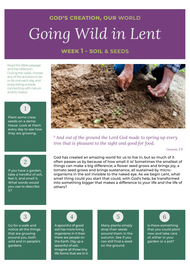### **week 1 - soil & seeds**

Read the Bible passage and the reflection. During the week, choose any of the activities to do or do one each day and enjoy being outside connecting with nature and its creator.



seeds on a damp tissue. Look at them every day to see how they are growing.



*<sup>9</sup> And out of the ground the Lord God made to spring up every tree that is pleasant to the sight and good for food.*

*Genesis 2:9*

### If you have a garden, 2

take a handful of soil, feel it, and smell it. What words would you use to describe it?

God has created an amazing world for us to live in, but so much of it often passes us by because of how small it is! Sometimes the smallest of things can make a big difference; a flower seed grows and brings joy, a tomato seed grows and brings sustenance, all sustained by microorganisms in the soil invisible to the naked eye. As we begin Lent, what small thing could you start that could, with God's help, be transformed into something bigger that makes a difference to your life and the life of others?



Go for a walk and notice all the things that are growing around you, both wild and in people's gardens.

## 4

A spoonful of good soil has more living organisms in it than there are people on the Earth. Dig up a spoonful of soil, imagine all those tiny life forms that are in it.



Many plants simply drop their seeds around them in the autumn. See if you can still find a seed on the ground.



Is there something that you could plant now and take care of, either in your garden or a pot?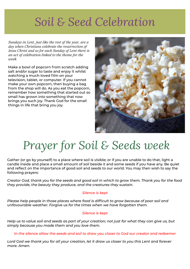# *Soil & Seed Celebration*

*Sundays in Lent, just like the rest of the year, are <sup>a</sup> day when Christians celebrate the resurrection of Jesus Christ and so for each Sunday of Lent there is an act of celebration linked to the theme for the week.*

Make a bowl of popcorn from scratch adding salt and/or sugar to taste and enjoy it whilst watching a much-loved film on your television, tablet, or computer. If you cannot make your own popcorn, then buying a bag from the shop will do. As you eat the popcorn, remember how something that started out so small has grown into something that now brings you such joy. Thank God for the small things in life that bring you joy.



# *Prayer for Soil & Seeds week*

Gather (or go by yourself) to a place where soil is visible; or if you are unable to do that, light a candle inside and place a small amount of soil beside it and some seeds if you have any. Be quiet and reflect on the importance of good soil and seeds to our world. You may then wish to say the following prayers:

*Creator God, thank you for the seeds and good soil in which to grow them. Thank you for the food they provide, the beauty they produce, and the creatures they sustain.*

#### *Silence is kept*

*Please help people in those places where food is difficult to grow because of poor soil and unfavourable weather. Forgive us for the times when we have forgotten them.*

#### *Silence is kept*

*Help us to value soil and seeds as part of your creation; not just for what they can give us, but simply because you made them and you love them.*

*In the silence allow the seeds and soil to draw you closer to God our creator and redeemer*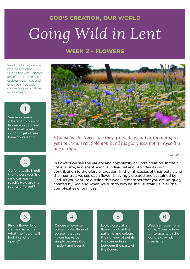#### **god's creation, our world**

# *Going Wild in Lent*

### **week 2 - flowers**

Read the Bible passage and the reflection. During the week, choose any of the activities to do or do one each day and enjoy being outside connecting with nature and its creator.



See how many different colours of flower you can find. Look at all levels, don't forget - trees have flowers too.



Go for a walk. Smell the flowers you find (and can easily reach). How are their scents different?



*<sup>27</sup>Consider the lilies, how they grow: they neither toil nor spin, yet I tell you, even Solomon in all his glory was not arrayed like one of these.*

*Luke 12:27*

In flowers we see the variety and complexity of God's creation. In their colours, size, and scent, each is individual and provides its own contribution to the glory of creation. In the intricacies of their petals and their centres, we see each flower is lovingly created and sustained by God. As you venture outside this week, remember that you are uniquely created by God and when we turn to him he shall sustain us in all the complexities of our lives.

![](_page_3_Picture_12.jpeg)

Find a flower bud. Can you imagine what the flower will look like when it opens?

### 4

Choose a flower to contemplate. Remind yourself that this flower has value simply because God made it and loves it.

![](_page_3_Picture_16.jpeg)

Look closely at a flower. Look at the patterns and colours; the number of petals; the connections between the parts of the flower.

![](_page_3_Picture_18.jpeg)

Watch a flower for a while. Observe how it interacts with the world e.g. wind, insects, rain.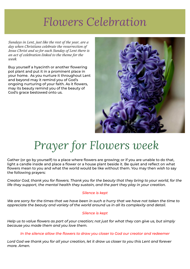## *Flowers Celebration*

*Sundays in Lent, just like the rest of the year, are <sup>a</sup> day when Christians celebrate the resurrection of Jesus Christ and so for each Sunday of Lent there is an act of celebration linked to the theme for the week.*

Buy yourself a hyacinth or another flowering pot plant and put it in a prominent place in your home. As you nurture it throughout Lent and beyond may it remind you of God's ongoing nurturing of your faith. As it flowers, may its beauty remind you of the beauty of God's grace bestowed onto us.

![](_page_4_Picture_3.jpeg)

# *Prayer for Flowers week*

Gather (or go by yourself) to a place where flowers are growing; or if you are unable to do that, light a candle inside and place a flower or a house plant beside it. Be quiet and reflect on what flowers mean to you and what the world would be like without them. You may then wish to say the following prayers:

*Creator God, thank you for flowers. Thank you for the beauty that they bring to your world, for the life they support, the mental health they sustain, and the part they play in your creation.*

#### *Silence is kept*

*We are sorry for the times that we have been in such a hurry that we have not taken the time to appreciate the beauty and variety of the world around us in all its complexity and detail.*

#### *Silence is kept*

*Help us to value flowers as part of your creation; not just for what they can give us, but simply because you made them and you love them.*

*In the silence allow the flowers to draw you closer to God our creator and redeemer*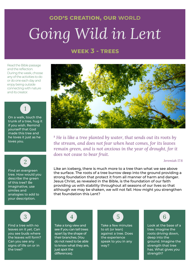### **week 3 - trees**

Read the Bible passage and the reflection. During the week, choose any of the activities to do or do one each day and enjoy being outside connecting with nature and its creator.

On a walk, touch the trunk of a tree, hug it if you wish. Remind yourself that God made this tree and he loves it just as he loves you.

1

### 2

Find an evergreen tree. How would you describe the green of this tree? Be imaginative, use similes and analogies to add to your description.

![](_page_5_Picture_6.jpeg)

*<sup>8</sup> He is like a tree planted by water, that sends out its roots by the stream, and does not fear when heat comes, for its leaves remain green, and is not anxious in the year of drought, for it does not cease to bear fruit.*

#### *Jeremiah 17:8*

Like an iceberg, there is much more to a tree than what we see above the surface. The roots of a tree burrow deep into the ground providing a strong foundation that protect it from all manner of harm and danger. Jesus Christ, as revealed in the Bible, is the foundation of our faith providing us with stability throughout all seasons of our lives so that although we may be shaken, we will not fall. How might you strengthen that foundation this Lent?

3

Find a tree with no leaves on it yet. Can you see buds where the leaves will form? Can you see any signs of life on or in the tree?

![](_page_5_Picture_12.jpeg)

Take a long view and see if you can tell trees apart by the shape of their branches. (You do not need to be able to know what they are, just spot the differences).

![](_page_5_Picture_14.jpeg)

Take a few minutes to sit (or lean) against a tree. Does the experience speak to you in any way?

![](_page_5_Picture_16.jpeg)

Look at the base of a tree. Imagine the roots driving down, deep into the ground. Imagine the strength that tree has. What gives you strength?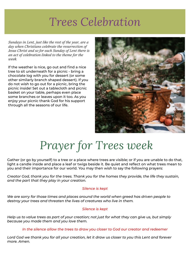## *Trees Celebration*

*Sundays in Lent, just like the rest of the year, are <sup>a</sup> day when Christians celebrate the resurrection of Jesus Christ and so for each Sunday of Lent there is an act of celebration linked to the theme for the week.*

If the weather is nice, go out and find a nice tree to sit underneath for a picnic - bring a chocolate log with you for dessert (or some other similarly branch shaped dessert). If you do not wish to go out for a picnic, bring the picnic inside! Set out a tablecloth and picnic basket on your table, perhaps even place some branches or leaves upon it too. As you enjoy your picnic thank God for his support through all the seasons of our life.

![](_page_6_Picture_3.jpeg)

# *Prayer for Trees week*

Gather (or go by yourself) to a tree or a place where trees are visible; or if you are unable to do that, light a candle inside and place a leaf or twigs beside it. Be quiet and reflect on what trees mean to you and their importance for our world. You may then wish to say the following prayers:

*Creator God, thank you for the trees. Thank you for the homes they provide, the life they sustain, and the part that they play in your creation.*

#### *Silence is kept*

*We are sorry for those times and places around the world when greed has driven people to destroy your trees and threaten the lives of creatures who live in them.*

#### *Silence is kept*

*Help us to value trees as part of your creation; not just for what they can give us, but simply because you made them and you love them.*

#### *In the silence allow the trees to draw you closer to God our creator and redeemer*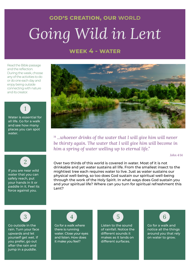### **week 4 - water**

Read the Bible passage and the reflection. During the week, choose any of the activities to do or do one each day and enjoy being outside connecting with nature and its creator.

![](_page_7_Picture_3.jpeg)

![](_page_7_Picture_4.jpeg)

If you are near wild water that you can safely reach, put your hands in it or paddle in it. Feel its force against you.

![](_page_7_Picture_6.jpeg)

*<sup>14</sup> ...whoever drinks of the water that I will give him will never be thirsty again. The water that I will give him will become in him a spring of water welling up to eternal life."*

*John 4:14*

Over two thirds of this world is covered in water. Most of it is not drinkable and yet water sustains all life. From the smallest insect to the mightiest tree each requires water to live. Just as water sustains our physical well-being, so too does God sustain our spiritual well-being through the work of the Holy Spirit. In what ways does God sustain you and your spiritual life? Where can you turn for spiritual refreshment this Lent?

![](_page_7_Picture_10.jpeg)

Go outside in the rain. Turn your face upwards and let yourself get wet. If you prefer, go out after the rain and jump in a puddle.

![](_page_7_Picture_12.jpeg)

Go for a walk where there is running water. Close your eyes and listen. How does it make you feel?

![](_page_7_Picture_14.jpeg)

Listen to the sound of rainfall. Notice the different sounds it makes as it lands on different surfaces.

![](_page_7_Picture_16.jpeg)

Go for a walk and notice all the things around you that rely on water to grow.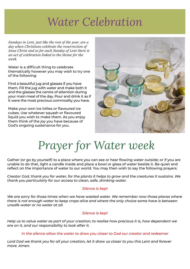## *Water Celebration*

*Sundays in Lent, just like the rest of the year, are <sup>a</sup> day when Christians celebrate the resurrection of Jesus Christ and so for each Sunday of Lent there is an act of celebration linked to the theme for the week.*

Water is a difficult thing to celebrate thematically however you may wish to try one of the following:

Find a beautiful jug and glasses if you have them. Fill the jug with water and make both it and the glasses the centre of attention during your main meal of the day. Pour and drink it as if it were the most precious commodity you have.

Make your own ice lollies or flavoured ice cubes. Use whatever squash or flavoured liquid you wish to make them. As you enjoy them think of the joy you have because of God's ongoing sustenance for you.

![](_page_8_Picture_5.jpeg)

# *Prayer for Water week*

Gather (or go by yourself) to a place where you can see or hear flowing water outside; or if you are unable to do that, light a candle inside and place a bowl or glass of water beside it. Be quiet and reflect on the importance of water to our world. You may then wish to say the following prayers:

*Creator God, thank you for water, for the plants it helps to grow and the creatures it sustains. We thank you particularly for our access to clean, safe, drinking water.*

#### *Silence is kept*

*We are sorry for those times when we have wasted water. We remember now those places where there is not enough water to keep crops alive and where the only choice some have is between unsafe water or no water at all.*

#### *Silence is kept*

*Help us to value water as part of your creation; to realise how precious it is, how dependent we are on it, and our responsibility to look after it.*

*In the silence allow the water to draw you closer to God our creator and redeemer*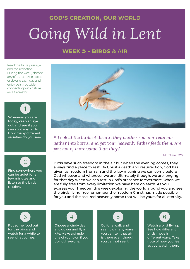#### **god's creation, our world**

# *Going Wild in Lent*

### **WEEK 5 - BIRDS & AIR**

Read the Bible passage and the reflection. During the week, choose any of the activities to do or do one each day and enjoy being outside connecting with nature and its creator.

![](_page_9_Picture_4.jpeg)

today, keep an eye out and see if you can spot any birds. How many different varieties do you see?

![](_page_9_Figure_6.jpeg)

Find somewhere you can be quiet for a few minutes and listen to the birds singing. We use the set

![](_page_9_Picture_8.jpeg)

<sup>26</sup> Look at the birds of the air: they neither sow nor reap nor gather into barns, and yet your heavenly Father feeds them. Are *you not of more value than they?*

*Matthew 6:26*  $\Gamma$  has control for us to live in an amazing world for  $\alpha$ 

Birds have such freedom in the air but when the evening comes, they always find a place to rest. By Christ's death and resurrection, God has given us freedom from sin and the law meaning we can come before <del>.</del><br>God whoever and wherever we are. Ultimately though, we are longing for that day when we can rest in God's presence forevermore, when we are fully free from every limitation we have here on earth. As you express your freedom this week exploring the world around you and see the birds flying free remember the freedom Christ has made possible for you and the assured heavenly home that will be yours for all eternity.

### 3

Put some food out for the birds and  $\hskip1cm$ watch for a while to see what comes.

![](_page_9_Picture_14.jpeg)

Choose a windy day and go our and fly a kite. Make a simple one of your own if you do not have one.

![](_page_9_Picture_16.jpeg)

Go for a walk and see how many ways you can tell that air is there even though you cannot see it.

![](_page_9_Picture_18.jpeg)

Watch a bird flying. See how different birds move in **that** different ways. Take note of how you feel as you watch them.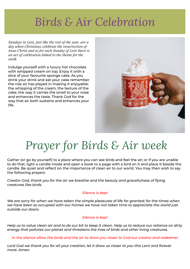# **Birds & Air Celebration**

*Sundays in Lent, just like the rest of the year, are <sup>a</sup> day when Christians celebrate the resurrection of Jesus Christ and so for each Sunday of Lent there is an act of celebration linked to the theme for the week.*

Indulge yourself with a luxury hot chocolate with whipped cream on top. Enjoy it with a slice of your favourite sponge cake. As you drink your drink and eat your cake remember the role air has played in making it enjoyable: the whipping of the cream, the texture of the cake, the way it carries the smell to your nose and enhances the taste. Thank God for the way that air both sustains and enhances your  $\overline{\phantom{a}}$  if equations in life that bring  $\overline{\phantom{a}}$  is that bring  $\overline{\phantom{a}}$ life.

![](_page_10_Picture_3.jpeg)

# *Prayer for Birds & Air week*

Gather (or go by yourself) to a place where you can see birds and feel the air; or if you are unable to do that, light a candle inside and open a book to a page with a bird on it and place it beside the candle. Be quiet and reflect on the importance of clean air to our world. You may then wish to say following prayers: the following prayers:

Creator God, thank you for the air we breathe and the beauty and gracefulness of flying *they provide, the beauty they produce, and the creatures they sustain. creatures like birds.*

#### *Silence is kept*

*Please help people in those places where food is difficult to grow because of poor soil and We are sorry for when we have taken the simple pleasures of life for granted; for the times when*  $w$ e have been so occupied with our homes we have not taken time to appreciate the world just *outside our doors.*

#### *Silence is kept*

*simply because you made them and you love them. Help us to value clean air and to do our bit to keep it clean. Help us to reduce our reliance on dirty energy that pollutes our planet and threatens the lives of birds and other living creatures.*

*In the silence allow the birds and the air to draw you closer to God our creator and redeemer*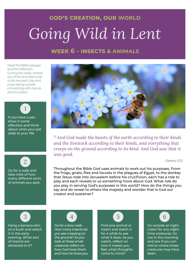### **week 6 - insects & animals**

Read the Bible passage and the reflection. During the week, choose any of the activities to do or do one each day and enjoy being outside connecting with nature and its creator.

If you have a pet, show it some affection and think about what your pet adds to your life.

1

![](_page_11_Picture_4.jpeg)

Go for a walk and take note of how many different sorts of animals you spot.

![](_page_11_Picture_6.jpeg)

*<sup>25</sup>And God made the beasts of the earth according to their kinds and the livestock according to their kinds, and everything that creeps on the ground according to its kind. And God saw that it was good.*

*Genesis 1:25*

Throughout the Bible God uses animals to work out his purposes. From the frogs, gnats, flies and locusts in the plagues of Egypt, to the donkey that Jesus rode into Jerusalem before his crucifixion, each has a role to play and each reveals to us something more about God. What role do you play in serving God's purposes in this world? How do the things you say and do reveal to others the majesty and wonder that is God our creator and sustainer?

3

Hang a banana skin on a bush and watch it in the early evening. What sort of insects are attracted to it?

## 4

Go for a slow walk. How many insects do you see creeping on the ground? As you look at these small creatures reflect on how God loves them and how he loves you.

![](_page_11_Picture_14.jpeg)

Find one animal or insect and watch it for a while to see what it does. As you watch, reflect on how it makes you feel, what thoughts come to mind?

![](_page_11_Picture_16.jpeg)

Go outside at night. Listen for any nighttime creatures. Go out in the morning and see if you can notice where those creatures may have been.